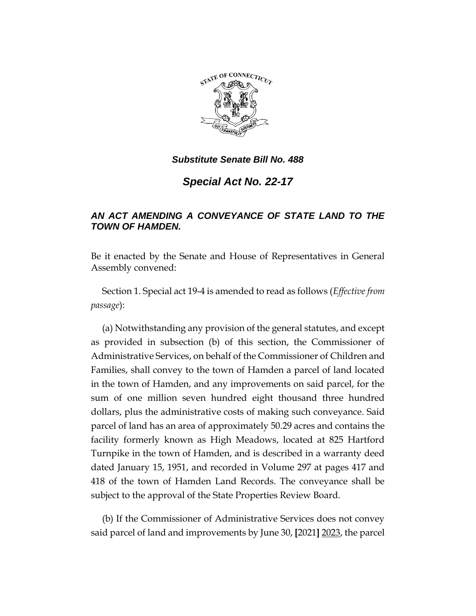

*Substitute Senate Bill No. 488*

*Special Act No. 22-17*

## *AN ACT AMENDING A CONVEYANCE OF STATE LAND TO THE TOWN OF HAMDEN.*

Be it enacted by the Senate and House of Representatives in General Assembly convened:

Section 1. Special act 19-4 is amended to read as follows (*Effective from passage*):

(a) Notwithstanding any provision of the general statutes, and except as provided in subsection (b) of this section, the Commissioner of Administrative Services, on behalf of the Commissioner of Children and Families, shall convey to the town of Hamden a parcel of land located in the town of Hamden, and any improvements on said parcel, for the sum of one million seven hundred eight thousand three hundred dollars, plus the administrative costs of making such conveyance. Said parcel of land has an area of approximately 50.29 acres and contains the facility formerly known as High Meadows, located at 825 Hartford Turnpike in the town of Hamden, and is described in a warranty deed dated January 15, 1951, and recorded in Volume 297 at pages 417 and 418 of the town of Hamden Land Records. The conveyance shall be subject to the approval of the State Properties Review Board.

(b) If the Commissioner of Administrative Services does not convey said parcel of land and improvements by June 30, **[**2021**]** 2023, the parcel